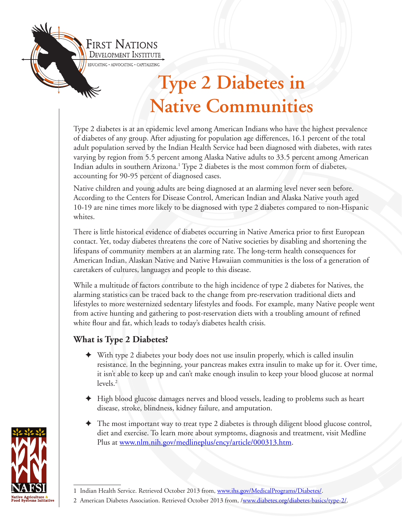

Type 2 diabetes is at an epidemic level among American Indians who have the highest prevalence of diabetes of any group. After adjusting for population age differences, 16.1 percent of the total adult population served by the Indian Health Service had been diagnosed with diabetes, with rates varying by region from 5.5 percent among Alaska Native adults to 33.5 percent among American Indian adults in southern Arizona.<sup>1</sup> Type 2 diabetes is the most common form of diabetes, accounting for 90-95 percent of diagnosed cases.

Native children and young adults are being diagnosed at an alarming level never seen before. According to the Centers for Disease Control, American Indian and Alaska Native youth aged 10-19 are nine times more likely to be diagnosed with type 2 diabetes compared to non-Hispanic whites.

There is little historical evidence of diabetes occurring in Native America prior to first European contact. Yet, today diabetes threatens the core of Native societies by disabling and shortening the lifespans of community members at an alarming rate. The long-term health consequences for American Indian, Alaskan Native and Native Hawaiian communities is the loss of a generation of caretakers of cultures, languages and people to this disease.

While a multitude of factors contribute to the high incidence of type 2 diabetes for Natives, the alarming statistics can be traced back to the change from pre-reservation traditional diets and lifestyles to more westernized sedentary lifestyles and foods. For example, many Native people went from active hunting and gathering to post-reservation diets with a troubling amount of refined white flour and fat, which leads to today's diabetes health crisis.

#### **What is Type 2 Diabetes?**

- $\blacklozenge$  With type 2 diabetes your body does not use [insulin](http://www.diabetes.org/living-with-diabetes/treatment-and-care/medication/insulin/insulin-basics.html) properly, which is called insulin resistance. In the beginning, your pancreas makes extra insulin to make up for it. Over time, it isn't able to keep up and can't make enough insulin to keep your blood glucose at normal levels.2
- ✦ High blood glucose damages nerves and blood vessels, leading to problems such as heart disease, stroke, blindness, kidney failure, and amputation.
- The most important way to treat type 2 diabetes is through diligent blood glucose control, diet and exercise. To learn more about symptoms, diagnosis and treatment, visit Medline Plus at [www.nlm.nih.gov/medlineplus/ency/article/000313.htm](http://www.nlm.nih.gov/medlineplus/ency/article/000313.htm).



<sup>1</sup> Indian Health Service. Retrieved October 2013 from, www.ihs.gov/MedicalPrograms/Diabetes/.

<sup>2</sup> American Diabetes Association. Retrieved October 2013 from, /www.diabetes.org/diabetes-basics/type-2/.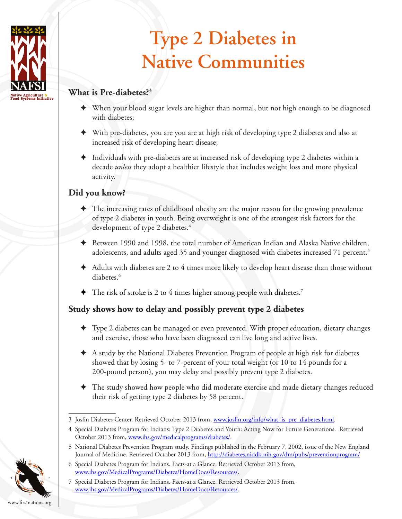

### **What is Pre-diabetes?3**

- ✦ When your blood sugar levels are higher than normal, but not high enough to be diagnosed with diabetes;
- ✦ With pre-diabetes, you are you are at high risk of developing type 2 diabetes and also at increased risk of developing heart disease;
- ✦ Individuals with pre-diabetes are at increased risk of developing type 2 diabetes within a decade *unless* they adopt a healthier lifestyle that includes weight loss and more physical activity.

### **Did you know?**

- ✦ The increasing rates of childhood obesity are the major reason for the growing prevalence of type 2 diabetes in youth. Being overweight is one of the strongest risk factors for the development of type 2 diabetes.<sup>4</sup>
- ✦ Between 1990 and 1998, the total number of American Indian and Alaska Native children, adolescents, and adults aged 35 and younger diagnosed with diabetes increased 71 percent.<sup>5</sup>
- $\blacklozenge$  Adults with diabetes are 2 to 4 times more likely to develop heart disease than those without diabetes.6
- $\blacklozenge$  The risk of stroke is 2 to 4 times higher among people with diabetes.<sup>7</sup>

### **Study shows how to delay and possibly prevent type 2 diabetes**

- ✦ Type 2 diabetes can be managed or even prevented. With proper education, dietary changes and exercise, those who have been diagnosed can live long and active lives.
- ✦ A study by the National Diabetes Prevention Program of people at high risk for diabetes showed that by losing 5- to 7-percent of your total weight (or 10 to 14 pounds for a 200-pound person), you may delay and possibly prevent type 2 diabetes.
- ✦ The study showed how people who did moderate exercise and made dietary changes reduced their risk of getting type 2 diabetes by 58 percent.

5 National Diabetes Prevention Program study. Findings published in the February 7, 2002, issue of the New England Journal of Medicine. Retrieved October 2013 from, http://diabetes.niddk.nih.gov/dm/pubs/preventionprogram/

<sup>7</sup> Special Diabetes Program for Indians. Facts-at a Glance. Retrieved October 2013 from, www.ihs.gov/MedicalPrograms/Diabetes/HomeDocs/Resources/.



<sup>3</sup> Joslin Diabetes Center. Retrieved October 2013 from, www.joslin.org/info/what\_is\_pre\_diabetes.html.

<sup>4</sup> Special Diabetes Program for Indians: Type 2 Diabetes and Youth: Acting Now for Future Generations. Retrieved October 2013 from, www.ihs.gov/medicalprograms/diabetes/.

<sup>6</sup> Special Diabetes Program for Indians. Facts-at a Glance. Retrieved October 2013 from, www.ihs.gov/MedicalPrograms/Diabetes/HomeDocs/Resources/.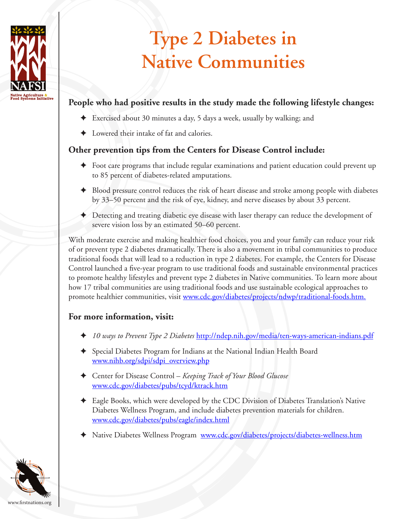

### **People who had positive results in the study made the following lifestyle changes:**

- ✦ Exercised about 30 minutes a day, 5 days a week, usually by walking; and
- Lowered their intake of fat and calories.

#### **Other prevention tips from the Centers for Disease Control include:**

- ✦ Foot care programs that include regular examinations and patient education could prevent up to 85 percent of diabetes-related amputations.
- ✦ Blood pressure control reduces the risk of heart disease and stroke among people with diabetes by 33–50 percent and the risk of eye, kidney, and nerve diseases by about 33 percent.
- ✦ Detecting and treating diabetic eye disease with laser therapy can reduce the development of severe vision loss by an estimated 50–60 percent.

With moderate exercise and making healthier food choices, you and your family can reduce your risk of or prevent type 2 diabetes dramatically. There is also a movement in tribal communities to produce traditional foods that will lead to a reduction in type 2 diabetes. For example, the Centers for Disease Control launched a five-year program to use traditional foods and sustainable environmental practices to promote healthy lifestyles and prevent type 2 diabetes in Native communities. To learn more about how 17 tribal communities are using traditional foods and use sustainable ecological approaches to promote healthier communities, visit [www.cdc.gov/diabetes/projects/ndwp/traditional-foods.htm](http://www.cdc.gov/diabetes/projects/ndwp/traditional-foods.htm).

### **For more information, visit:**

- ✦ *10 ways to Prevent Type 2 Diabetes* http://ndep.nih.gov/media/ten-ways-american-indians.pdf
- ✦ Special Diabetes Program for Indians at the National Indian Health Board [www.nihb.org/sdpi/sdpi\\_overview.php](http://www.nihb.org/sdpi/sdpi_overview.php)
- ✦ Center for Disease Control *Keeping Track of Your Blood Glucose*  [www.cdc.gov/diabetes/pubs/tcyd/ktrack.htm](http://www.cdc.gov/diabetes/pubs/tcyd/ktrack.htm)
- ✦ Eagle Books, which were developed by the CDC Division of Diabetes Translation's [Native](http://www.cdc.gov/diabetes/projects/diabetes-wellness.htm)  [Diabetes Wellness Program](http://www.cdc.gov/diabetes/projects/diabetes-wellness.htm), and include diabetes prevention materials for children. [www.cdc.gov/diabetes/pubs/eagle/index.html](http://www.cdc.gov/diabetes/pubs/eagle/index.html)
- ✦ Native Diabetes Wellness Program [www.cdc.gov/diabetes/projects/diabetes-wellness.htm](http://www.cdc.gov/diabetes/projects/diabetes-wellness.htm)